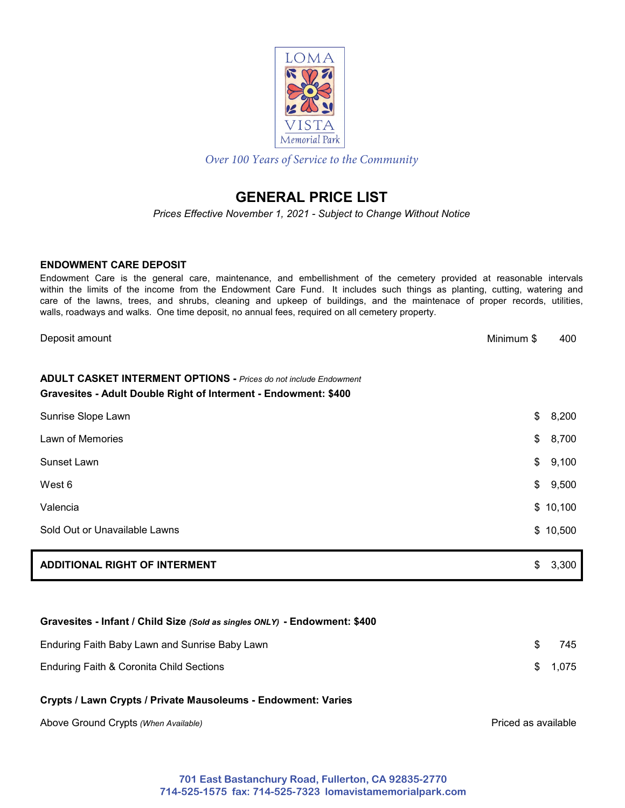

*Over 100 Years of Service to the Community*

# **GENERAL PRICE LIST**

*Prices Effective November 1, 2021 - Subject to Change Without Notice*

### **ENDOWMENT CARE DEPOSIT**

Endowment Care is the general care, maintenance, and embellishment of the cemetery provided at reasonable intervals within the limits of the income from the Endowment Care Fund. It includes such things as planting, cutting, watering and care of the lawns, trees, and shrubs, cleaning and upkeep of buildings, and the maintenace of proper records, utilities, walls, roadways and walks. One time deposit, no annual fees, required on all cemetery property.

| <b>ADDITIONAL RIGHT OF INTERMENT</b>                                                                                                       | \$<br>3,300 |
|--------------------------------------------------------------------------------------------------------------------------------------------|-------------|
| Sold Out or Unavailable Lawns                                                                                                              | \$10,500    |
| Valencia                                                                                                                                   | \$10,100    |
| West 6                                                                                                                                     | \$<br>9,500 |
| Sunset Lawn                                                                                                                                | \$<br>9,100 |
| Lawn of Memories                                                                                                                           | \$<br>8,700 |
| Sunrise Slope Lawn                                                                                                                         | \$<br>8,200 |
| <b>ADULT CASKET INTERMENT OPTIONS - Prices do not include Endowment</b><br>Gravesites - Adult Double Right of Interment - Endowment: \$400 |             |
| Deposit amount<br>Minimum \$                                                                                                               | 400         |

### **Gravesites - Infant / Child Size** *(Sold as singles ONLY)* **- Endowment: \$400**

| Enduring Faith Baby Lawn and Sunrise Baby Lawn | 745      |
|------------------------------------------------|----------|
| Enduring Faith & Coronita Child Sections       | \$ 1.075 |

### **Crypts / Lawn Crypts / Private Mausoleums - Endowment: Varies**

Above Ground Crypts *(When Available)*

Priced as available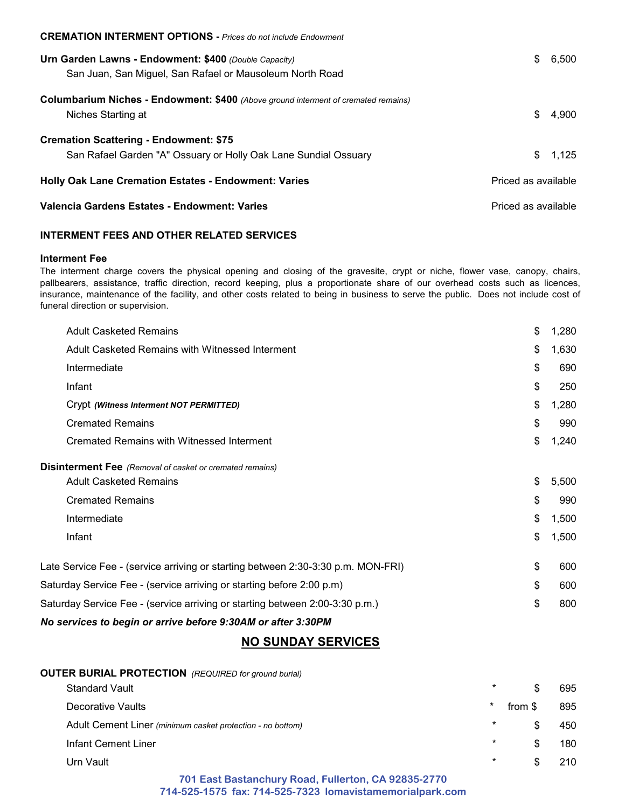| <b>CREMATION INTERMENT OPTIONS</b> - Prices do not include Endowment               |                     |
|------------------------------------------------------------------------------------|---------------------|
| Urn Garden Lawns - Endowment: \$400 (Double Capacity)                              | S.                  |
| San Juan, San Miguel, San Rafael or Mausoleum North Road                           | 6.500               |
| Columbarium Niches - Endowment: \$400 (Above ground interment of cremated remains) | \$                  |
| Niches Starting at                                                                 | 4.900               |
| <b>Cremation Scattering - Endowment: \$75</b>                                      | \$                  |
| San Rafael Garden "A" Ossuary or Holly Oak Lane Sundial Ossuary                    | 1.125               |
| <b>Holly Oak Lane Cremation Estates - Endowment: Varies</b>                        | Priced as available |
| Valencia Gardens Estates - Endowment: Varies                                       | Priced as available |

### **INTERMENT FEES AND OTHER RELATED SERVICES**

#### **Interment Fee**

The interment charge covers the physical opening and closing of the gravesite, crypt or niche, flower vase, canopy, chairs, pallbearers, assistance, traffic direction, record keeping, plus a proportionate share of our overhead costs such as licences, insurance, maintenance of the facility, and other costs related to being in business to serve the public. Does not include cost of funeral direction or supervision.

| <b>Adult Casketed Remains</b>                                                    | \$ | 1,280 |
|----------------------------------------------------------------------------------|----|-------|
| Adult Casketed Remains with Witnessed Interment                                  | \$ | 1,630 |
| Intermediate                                                                     | \$ | 690   |
| Infant                                                                           | \$ | 250   |
| Crypt (Witness Interment NOT PERMITTED)                                          | \$ | 1,280 |
| <b>Cremated Remains</b>                                                          | \$ | 990   |
| Cremated Remains with Witnessed Interment                                        | \$ | 1,240 |
| <b>Disinterment Fee</b> (Removal of casket or cremated remains)                  |    |       |
| <b>Adult Casketed Remains</b>                                                    | \$ | 5,500 |
| <b>Cremated Remains</b>                                                          | \$ | 990   |
| Intermediate                                                                     | \$ | 1,500 |
| Infant                                                                           | \$ | 1,500 |
| Late Service Fee - (service arriving or starting between 2:30-3:30 p.m. MON-FRI) | \$ | 600   |
| Saturday Service Fee - (service arriving or starting before 2:00 p.m)            |    | 600   |
| Saturday Service Fee - (service arriving or starting between 2:00-3:30 p.m.)     |    | 800   |
| No services to begin or arrive before 9:30AM or after 3:30PM                     |    |       |

## **NO SUNDAY SERVICES**

| <b>OUTER BURIAL PROTECTION</b> (REQUIRED for ground burial) |         |         |     |
|-------------------------------------------------------------|---------|---------|-----|
| <b>Standard Vault</b>                                       | $\star$ |         | 695 |
| Decorative Vaults                                           | $\ast$  | from \$ | 895 |
| Adult Cement Liner (minimum casket protection - no bottom)  | $\star$ | \$.     | 450 |
| Infant Cement Liner                                         | $\star$ | \$.     | 180 |
| Urn Vault                                                   | $\star$ |         | 210 |
| 701 East Bastanchury Road, Fullerton, CA 92835-2770         |         |         |     |

**701 East Bastanchury Road, Fullerton, CA 92835-2770 714-525-1575 fax: 714-525-7323 lomavistamemorialpark.com**